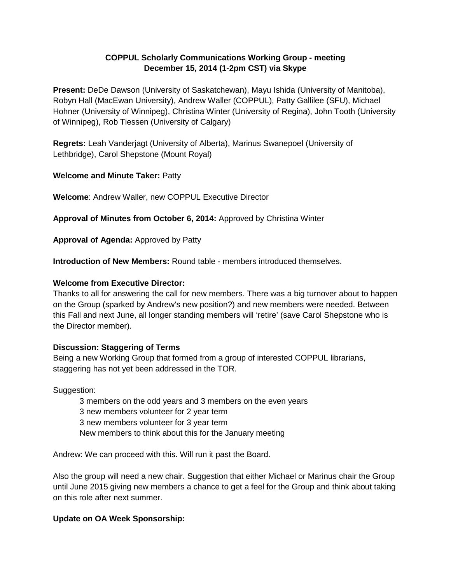## **COPPUL Scholarly Communications Working Group - meeting December 15, 2014 (1-2pm CST) via Skype**

**Present:** DeDe Dawson (University of Saskatchewan), Mayu Ishida (University of Manitoba), Robyn Hall (MacEwan University), Andrew Waller (COPPUL), Patty Gallilee (SFU), Michael Hohner (University of Winnipeg), Christina Winter (University of Regina), John Tooth (University of Winnipeg), Rob Tiessen (University of Calgary)

**Regrets:** Leah Vanderjagt (University of Alberta), Marinus Swanepoel (University of Lethbridge), Carol Shepstone (Mount Royal)

## **Welcome and Minute Taker:** Patty

**Welcome**: Andrew Waller, new COPPUL Executive Director

**Approval of Minutes from October 6, 2014:** Approved by Christina Winter

**Approval of Agenda:** Approved by Patty

**Introduction of New Members:** Round table - members introduced themselves.

#### **Welcome from Executive Director:**

Thanks to all for answering the call for new members. There was a big turnover about to happen on the Group (sparked by Andrew's new position?) and new members were needed. Between this Fall and next June, all longer standing members will 'retire' (save Carol Shepstone who is the Director member).

#### **Discussion: Staggering of Terms**

Being a new Working Group that formed from a group of interested COPPUL librarians, staggering has not yet been addressed in the TOR.

Suggestion:

3 members on the odd years and 3 members on the even years

3 new members volunteer for 2 year term

3 new members volunteer for 3 year term

New members to think about this for the January meeting

Andrew: We can proceed with this. Will run it past the Board.

Also the group will need a new chair. Suggestion that either Michael or Marinus chair the Group until June 2015 giving new members a chance to get a feel for the Group and think about taking on this role after next summer.

## **Update on OA Week Sponsorship:**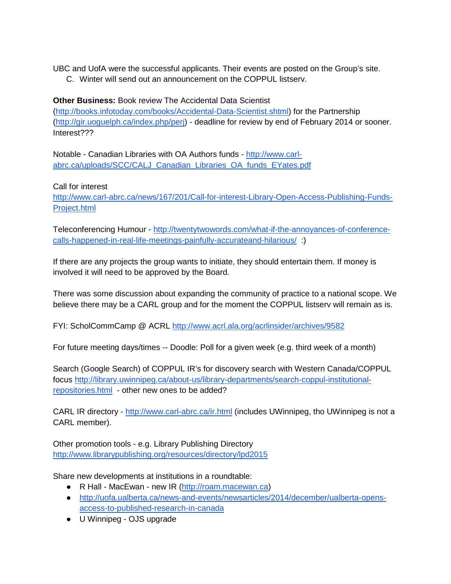UBC and UofA were the successful applicants. Their events are posted on the Group's site.

C. Winter will send out an announcement on the COPPUL listserv.

## **Other Business:** Book review The Accidental Data Scientist

[\(http://books.infotoday.com/books/Accidental-Data-Scientist.shtml\)](http://books.infotoday.com/books/Accidental-Data-Scientist.shtml) for the Partnership [\(http://gir.uoguelph.ca/index.php/perj\)](http://gir.uoguelph.ca/index.php/perj) - deadline for review by end of February 2014 or sooner. Interest???

Notable - Canadian Libraries with OA Authors funds - [http://www.carl](http://www.carl-abrc.ca/uploads/SCC/CALJ_Canadian_Libraries_OA_funds_EYates.pdf)[abrc.ca/uploads/SCC/CALJ\\_Canadian\\_Libraries\\_OA\\_funds\\_EYates.pdf](http://www.carl-abrc.ca/uploads/SCC/CALJ_Canadian_Libraries_OA_funds_EYates.pdf)

Call for interest

[http://www.carl-abrc.ca/news/167/201/Call-for-interest-Library-Open-Access-Publishing-Funds-](http://www.carl-abrc.ca/news/167/201/Call-for-interest-Library-Open-Access-Publishing-Funds-Project.html)[Project.html](http://www.carl-abrc.ca/news/167/201/Call-for-interest-Library-Open-Access-Publishing-Funds-Project.html)

Teleconferencing Humour - [http://twentytwowords.com/what-if-the-annoyances-of-conference](http://twentytwowords.com/what-if-the-annoyances-of-conference-calls-happened-in-real-life-meetings-painfully-accurateand-hilarious/)[calls-happened-in-real-life-meetings-painfully-accurateand-hilarious/](http://twentytwowords.com/what-if-the-annoyances-of-conference-calls-happened-in-real-life-meetings-painfully-accurateand-hilarious/) :)

If there are any projects the group wants to initiate, they should entertain them. If money is involved it will need to be approved by the Board.

There was some discussion about expanding the community of practice to a national scope. We believe there may be a CARL group and for the moment the COPPUL listserv will remain as is.

FYI: ScholCommCamp @ ACRL<http://www.acrl.ala.org/acrlinsider/archives/9582>

For future meeting days/times -- Doodle: Poll for a given week (e.g. third week of a month)

Search (Google Search) of COPPUL IR's for discovery search with Western Canada/COPPUL focus [http://library.uwinnipeg.ca/about-us/library-departments/search-coppul-institutional](http://library.uwinnipeg.ca/about-us/library-departments/search-coppul-institutional-repositories.html)[repositories.html](http://library.uwinnipeg.ca/about-us/library-departments/search-coppul-institutional-repositories.html) - other new ones to be added?

CARL IR directory - <http://www.carl-abrc.ca/ir.html> (includes UWinnipeg, tho UWinnipeg is not a CARL member).

Other promotion tools - e.g. Library Publishing Directory <http://www.librarypublishing.org/resources/directory/lpd2015>

Share new developments at institutions in a roundtable:

- R Hall MacEwan new IR [\(http://roam.macewan.ca\)](http://roam.macewan.ca/)
- [http://uofa.ualberta.ca/news-and-events/newsarticles/2014/december/ualberta-opens](http://uofa.ualberta.ca/news-and-events/newsarticles/2014/december/ualberta-opens-access-to-published-research-in-canada)[access-to-published-research-in-canada](http://uofa.ualberta.ca/news-and-events/newsarticles/2014/december/ualberta-opens-access-to-published-research-in-canada)
- U Winnipeg OJS upgrade